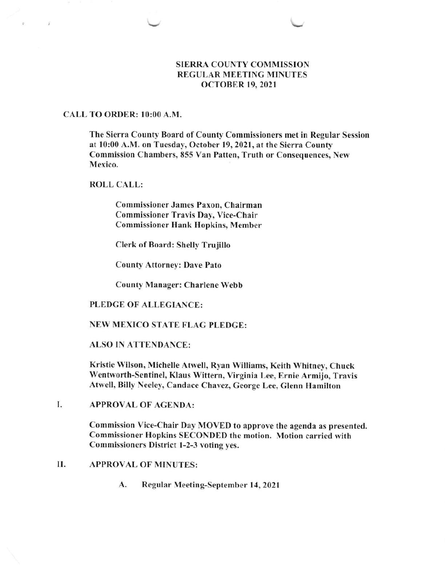## SIERRA COUNTY COMMISSION REGULAR MEETING MINUTES ocToBER 19,202t

## CALL TO ORDER: l0:00 A.M.

 $\overline{\phantom{a}i}$ 

 $\mathbb{R}^+$ 

The Sierra County Board of County Commissioners met in Regular Session at l0:00 A.M. on Tuesday, October 19,2021, at the Sierra County Commission Chambers, 855 Van Patten, Truth or Consequences, New Mexico,

## ROLL CALL:

Commissioner James Paxon, Chairman Commissioner Travis Day, Vice-Chair Commissioner Hank Hopkins, Member

Clerk of Board: Shelly Trujillo

County Attorney: Dave Pato

County Manager: Charlene Webb

## PLEDGE OF ALLEGIANCE:

## NEW MEXICO STATE FLAG PLEDGE:

## ALSO IN ATTENDANCE:

Kristie Wilson, Michelle Atwell, Ryan Williams, Keith Whitney, Chuck Wentworth-Sentinel, Klaus Wittern, Virginia Lee, Ernie Armijo, Travis Atwell, Billy Neeley, Candace Chavez, George Lee, Glenn Hamilton

APPROVAL OF AGENDA: I

> Commission Vice-Chair Day MOVED to approye the agenda as presented. Commissioner Hopkins SECONDED the motion. Motion carried with Commissioners District l-2-3 voting yes.

## II. APPROVAL OF MINUTES:

A. Regular Meeting-September 14, 2021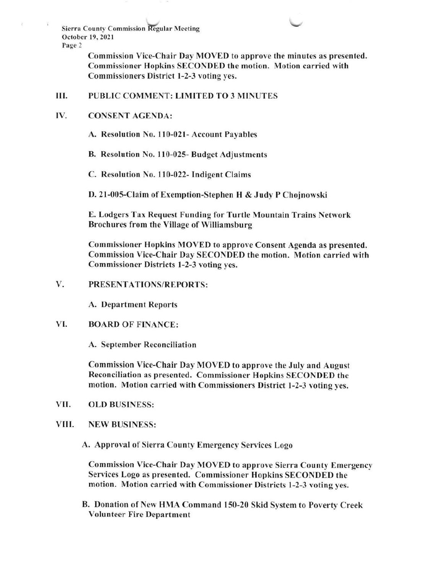Sierra County Commission Regular Meeting October 19.2021 Page 2

> Commission Vice-Chair Day MOVED to approve the minutes as presented. Commissioner Hopkins SECONDED the motion. Motion carried with Commissioners District 1-2-3 voting yes.

## III. PUBLIC COMMENT: LIMITED TO 3 MINUTES

#### CONSENT AGENDA: IV.

 $\overline{v}$ 

A. Resolution No. 110-021- Account Payables

B. Resolution No. 110-025- Budget Adjustments

C. Resolution No. 110-022- Indigent Claims

D. 2l-005-Claim of Exemption-Stephen H & Judy P Chojnowski

E. Lodgers Tax Request Funding for Turtle Mountain Trains Network Brochures from the Village of Williamsburg

Commissioner Hopkins MOVED to approve Consent Agenda as presented. Commission Vice-Chair Day SECONDED the motion. Motion carried with Commissioner Districts l -2-3 voting yes.

PRESENTATIONS/REPORTS: V

A. Department Reports

#### BOARD OF FINANCE: VT

A. September Reconciliation

Commission Vice-Chair Day MOVED to approve the July and August Reconciliation as presented. Commissioner Hopkins SECONDED the motion. Motion carried with Commissioners District 1-2-3 voting yes.

VII. OLD BUSINESS:

#### VIII, NEW BUSINESS:

A. Approval of Sierra County Emergency Services Logo

Commission Vice-Chair Day MOVED to approve Sierra County Emergency Services Logo as presented. Commissioner Hopkins SECONDED the motion. Motion carried with Commissioner Districts 1-2-3 voting yes.

B. Donation of New HMA Command 150-20 Skid System to Poverty Creek Volunteer Fire Department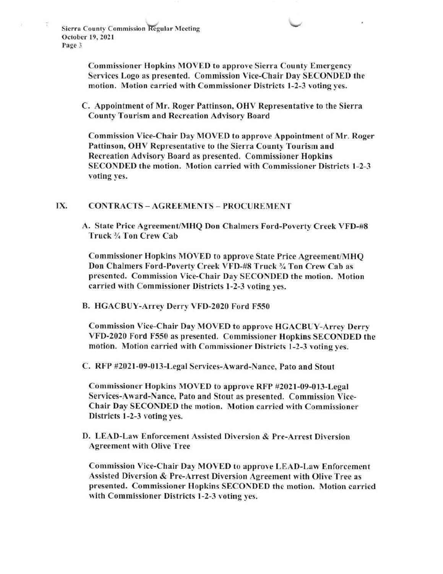Sierra County Commission Regular Meeting October 19. 2021 Page 3

> Commissioner Hopkins MOVED to approve Sierra County Emergency Services Logo as presented. Commission Vice-Chair Day SECONDED the motion. Motion carried with Commissioner Districts l-2-3 voting yes.

C. Appointment of Mr. Roger Pattinson, OHV Representative to the Sierra Countv Tourism and Recreation Advisorv Board

Commission Vice-Chair Day MOVED to approve Appointment of Mr. Roger Pattinson, OHV Representative to the Sierra County Tourism and Recreation Advisory Board as presented. Commissioner Hopkins SECONDED the motion. Motion carried with Commissioner Districts l-2-3 voting yes.

## IX. CONTRACTS - AGREEMENTS - PROCUREMENT

A. State Price AgreemenVMHQ Don Chalmers Ford-Poverty Creek VFD-#8 Truck % Ton Crew Cab

Commissioner Hopkins MOVED to approve State Price Agreement/MHQ Don Chalmers Ford-Poverty Creek VFD-#S Truck % Ton Crew Cab as presented. Commission Vice-Chair Day SECONDED the motion. Motion carried with Commissioner Districts 1-2-3 voting yes.

#### B. HGACBUY-Arrey Derry VFD-2020 Ford F550

Commission Vice-Chair Day MOVED to approve HGACBUY-Arrey Derry VFD-2020 Ford F550 as presented. Commissioner Hopkins SECONDED the motion. Motion carried with Commissioner Districts l-2-3 voting yes,

C. RFP #2021-09-013-Legal Services-Award-Nance, Pato and Stout

Commissioner Hopkins MOVED to approve RFP #2021-09-013-Legal Services-Award-Nance, Pato and Stout as presented. Commission Vice-Chair Day SECONDED the motion. Motion carried with Commissioner Districts l-2-3 voting yes.

D. LEAD-Law Enforcement Assisted Diversion & Pre-Arrest Diversion Agreement with Olive Tree

Commission Vice-Chair Day MOVED to approve LEAD-Law Enforcement Assisted Diversion & Pre-Arrest Diversion Agreement with Olive Tree as presented. Commissioner Hopkins SECONDED the motion. Motion carried with Commissioner Districts l-2-3 voting yes.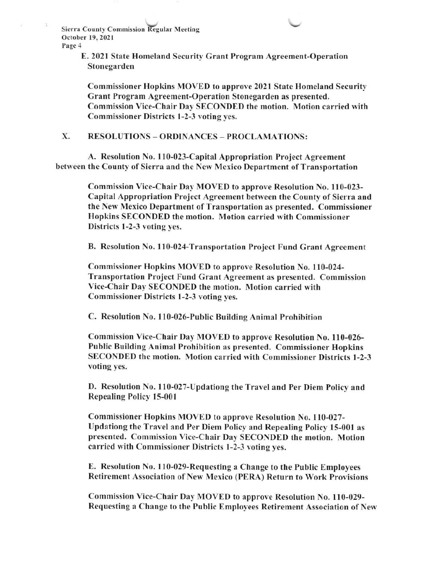Sierra County Commission Regular Meeting October 19,2021 Page 4

> E.2021 State Homeland Security Grant Program Agreement-Operation Stonegarden

Commissioner Hopkins MOVED to approve 2021 State Homeland Security Grant Program Agreement-Operation Stonegarden as presented. Commission Vice-Chair Day SECONDED the motion. Motion carried with Commissioner Districts l-2-3 voting yes.

X. RESOLUTIONS - ORDINANCES - PROCLAMATIONS:

A. Resolution No. 110-023-Capital Appropriation Project Agreement between the County of Sierra and the New Mexico Department of Transportation

> Commission Vice-Chair Day MOVED to approve Resolution No. 110-023-Capital Appropriation Project Agreement between the County of Sierra and the New Mexico Department of Transportation as presented. Commissioner Hopkins SECONDED the motion. Motion carried with Commissioner Districts l-2-3 voting yes.

B. Resolution No. 110-024-Transportation Project Fund Grant Agreement

Commissioner Hopkins MOVED to approve Resolution No. 110-024-Transportation Project Fund Grant Agreement as presented. Commission Vice-Chair Day SECONDED the motion. Motion carried with Commissioner Districts l-2-3 voting yes.

C. Resolution No. 110-026-Public Building Animal Prohibition

Commission Vice-Chair Day MOVED to approve Resolution No. 110-026- Public Building Animal Prohibition as presented. Commissioner Hopkins SECONDED the motion. Motion carried with Commissioner Districts l-2-3 voting yes.

D. Resolution No. 110-027-Updationg the Travel and Per Diem Policy and Repealing Policy 15-001

Commissioner Hopkins MOVED to approve Resolution No. 110-027-Updationg the Travel and Per Diem Policy and Repealing Policy l5-001 as presented. Commission Vice-Chair Day SECONDED the motion. Motion carried with Commissioner Districts 1-2-3 voting yes.

E. Resolution No. 1 l0-029-Requesting a Change to the Public Employees Retirement Association of New Mexico (PERA) Return to Work Provisions

Commission Vice-Chair Day MOVED to approve Resolution No. 110-029-Requesting a Change to the Public Employees Retirement Association of New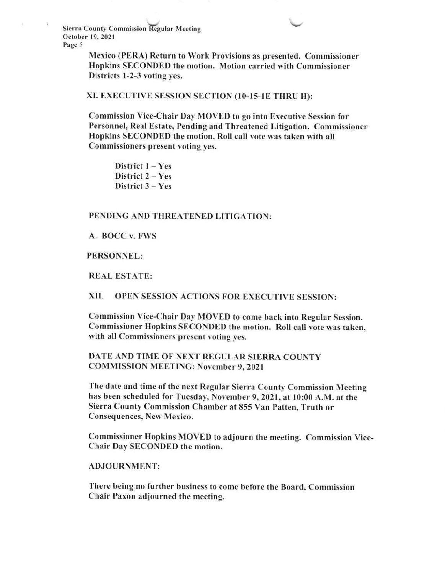Sierra County Commission Regular Meeting October 19,2021 Page 5

 $\tilde{\mathbf{z}}$ 

 $\overline{B}$ 

Mexico (PERA) Return to Work Provisions as presented. Commissioner Hopkins SECONDED the motion. Motion carried with Commissioner Districts 1-2-3 voting yes.

#### XI. EXECUTIVE SESSION SECTION (10-15-1E THRU H):

Commission Vice-Chair Day MOVED to go into Executive Session for Personnel, Real Estate, Pending and Threatened Litigation. Commissioner Hopkins SECONDED the motion. Roll call vote was taken with all Commissioners present voting yes.

District 1 - Yes District  $2 - Yes$ District 3 - Yes

#### PENDING AND THREATENED LITICATION:

### A. BOCC v. FWS

#### PERSONNEL:

### REAL ESTATE:

## XII. OPEN SESSION ACTIONS FOR EXECUTIVE SESSION:

Commission Vice-Chair Day MOVED to come back into Regular Session. Commissioner Hopkins SECONDED the motion. Roll call yote was taken, with all Commissioners present voting yes.

## DATE AND TIME OF NEXT REGULAR SIERRA COUNTY COMMISSION MEETING: November 9. 2021

The date and time of the next Regular Sierra County Commission Meeting has been scheduled for Tuesday, November 9,2021, at l0:00 A.M. at the Sierra County Commission Chamber at 855 Van Patten, Truth or Consequences, New Mexico.

Commissioner Hopkins MOVED to adjourn the meeting. Commission Vice-Chair Day SECONDED the motion.

#### ADJOURNMENT:

There being no further business to come before the Board, Commission Chair Paxon adjourned the meeting.